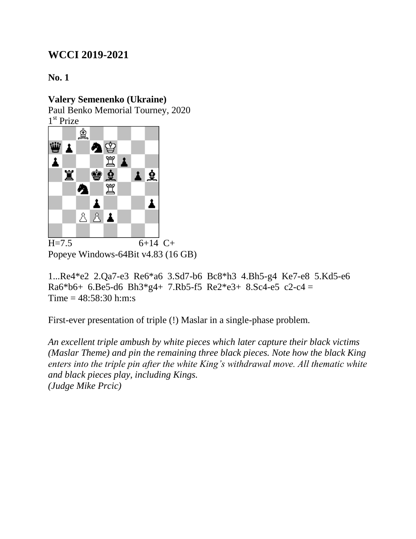**No. 1**

### **Valery Semenenko (Ukraine)**

Paul Benko Memorial Tourney, 2020 1 st Prize



Popeye Windows-64Bit v4.83 (16 GB)

1...Re4\*e2 2.Qa7-e3 Re6\*a6 3.Sd7-b6 Bc8\*h3 4.Bh5-g4 Ke7-e8 5.Kd5-e6 Ra6\*b6+ 6.Be5-d6 Bh3\*g4+ 7.Rb5-f5 Re2\*e3+ 8.Sc4-e5 c2-c4 = Time = 48:58:30 h:m:s

First-ever presentation of triple (!) Maslar in a single-phase problem.

*An excellent triple ambush by white pieces which later capture their black victims (Maslar Theme) and pin the remaining three black pieces. Note how the black King enters into the triple pin after the white King's withdrawal move. All thematic white and black pieces play, including Kings. (Judge Mike Prcic)*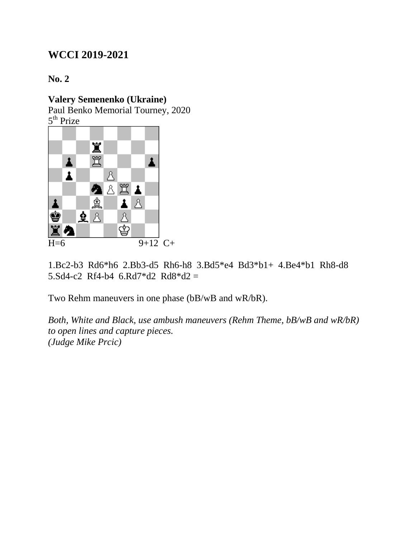**No. 2**

### **Valery Semenenko (Ukraine)**

Paul Benko Memorial Tourney, 2020 5<sup>th</sup> Prize



1.Bc2-b3 Rd6\*h6 2.Bb3-d5 Rh6-h8 3.Bd5\*e4 Bd3\*b1+ 4.Be4\*b1 Rh8-d8 5.Sd4-c2 Rf4-b4  $6.$ Rd $7$ \*d $2$  Rd $8$ \*d $2 =$ 

Two Rehm maneuvers in one phase (bB/wB and wR/bR).

*Both, White and Black, use ambush maneuvers (Rehm Theme, bB/wB and wR/bR) to open lines and capture pieces. (Judge Mike Prcic)*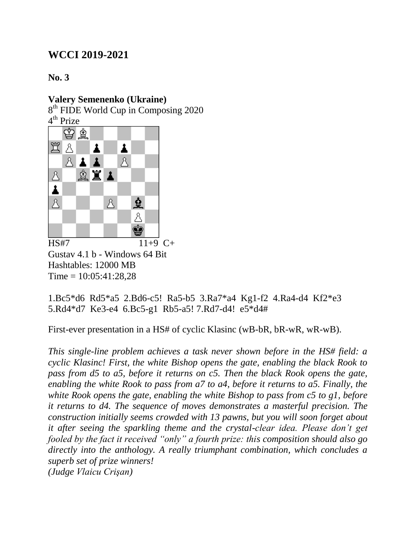**No. 3**

#### **Valery Semenenko (Ukraine)**

8<sup>th</sup> FIDE World Cup in Composing 2020 4<sup>th</sup> Prize



Gustav 4.1 b - Windows 64 Bit Hashtables: 12000 MB  $Time = 10:05:41:28.28$ 

1.Bc5\*d6 Rd5\*a5 2.Bd6-c5! Ra5-b5 3.Ra7\*a4 Kg1-f2 4.Ra4-d4 Kf2\*e3 5.Rd4\*d7 Ke3-e4 6.Bc5-g1 Rb5-a5! 7.Rd7-d4! e5\*d4#

First-ever presentation in a HS# of cyclic Klasinc (wB-bR, bR-wR, wR-wB).

*This single-line problem achieves a task never shown before in the HS# field: a cyclic Klasinc! First, the white Bishop opens the gate, enabling the black Rook to pass from d5 to a5, before it returns on c5. Then the black Rook opens the gate, enabling the white Rook to pass from a7 to a4, before it returns to a5. Finally, the white Rook opens the gate, enabling the white Bishop to pass from c5 to g1, before it returns to d4. The sequence of moves demonstrates a masterful precision. The construction initially seems crowded with 13 pawns, but you will soon forget about it after seeing the sparkling theme and the crystal-clear idea. Please don't get fooled by the fact it received "only" a fourth prize: this composition should also go directly into the anthology. A really triumphant combination, which concludes a superb set of prize winners! (Judge Vlaicu Crişan)*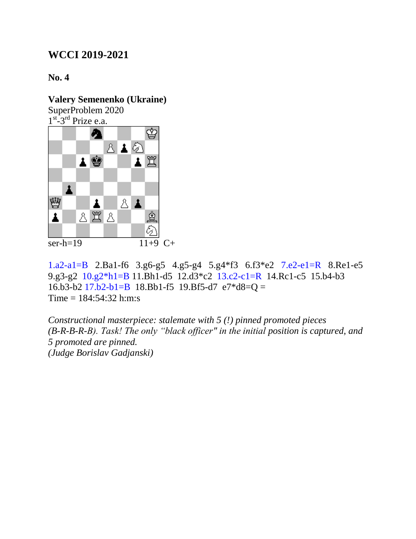#### **No. 4**

## **Valery Semenenko (Ukraine)**

SuperProblem 2020



1.a2-a1=B 2.Ba1-f6 3.g6-g5 4.g5-g4 5.g4\*f3 6.f3\*e2 7.e2-e1=R 8.Re1-e5 9.g3-g2 10.g2\*h1=B 11.Bh1-d5 12.d3\*c2 13.c2-c1=R 14.Rc1-c5 15.b4-b3 16.b3-b2 17.b2-b1=B 18.Bb1-f5 19.Bf5-d7  $e7*d8=Q =$  $Time = 184:54:32$  h:m:s

*Constructional masterpiece: stalemate with 5 (!) pinned promoted pieces (B-R-B-R-B). Task! The only "black officer" in the initial position is captured, and 5 promoted are pinned. (Judge Borislav Gadjanski)*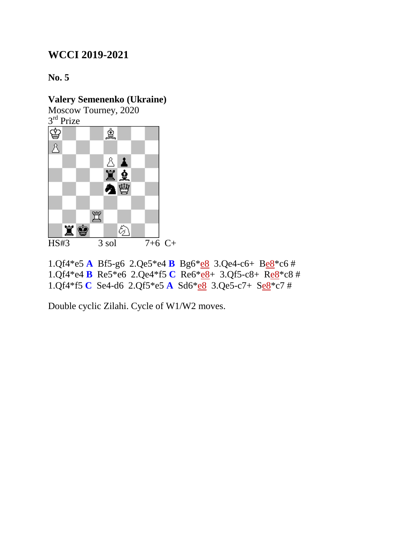**No. 5**

### **Valery Semenenko (Ukraine)**

Moscow Tourney, 2020 3<sup>rd</sup> Prize



1.Qf4\*e5 **A** Bf5-g6 2.Qe5\*e4 **B** Bg6\*e8 3.Qe4-c6+ Be8\*c6 # 1.Qf4\*e4 **B** Re5\*e6 2.Qe4\*f5 **C** Re6\*e8+ 3.Qf5-c8+ Re8\*c8 # 1.Qf4\*f5 **C** Se4-d6 2.Qf5\*e5 **A** Sd6\*e8 3.Qe5-c7+ Se8\*c7 #

Double cyclic Zilahi. Cycle of W1/W2 moves.